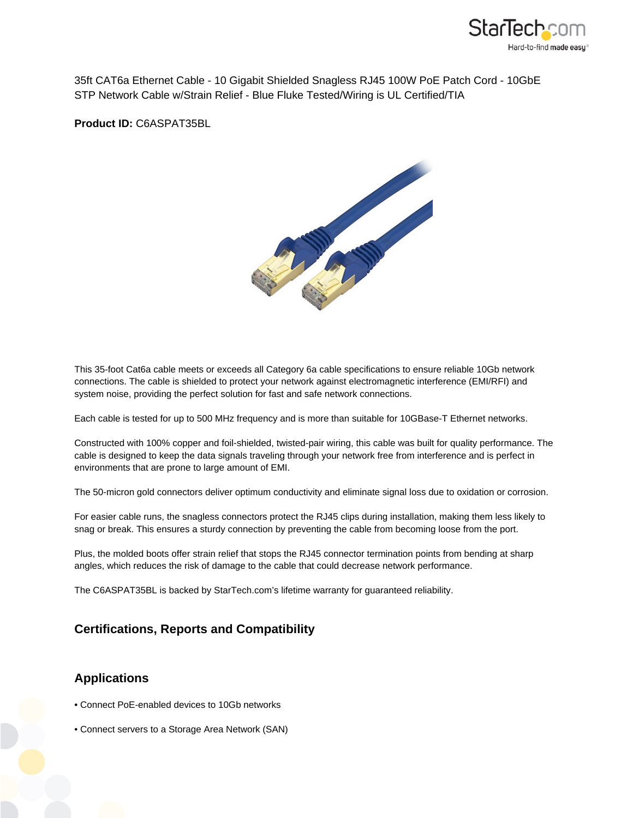

35ft CAT6a Ethernet Cable - 10 Gigabit Shielded Snagless RJ45 100W PoE Patch Cord - 10GbE STP Network Cable w/Strain Relief - Blue Fluke Tested/Wiring is UL Certified/TIA

**Product ID:** C6ASPAT35BL



This 35-foot Cat6a cable meets or exceeds all Category 6a cable specifications to ensure reliable 10Gb network connections. The cable is shielded to protect your network against electromagnetic interference (EMI/RFI) and system noise, providing the perfect solution for fast and safe network connections.

Each cable is tested for up to 500 MHz frequency and is more than suitable for 10GBase-T Ethernet networks.

Constructed with 100% copper and foil-shielded, twisted-pair wiring, this cable was built for quality performance. The cable is designed to keep the data signals traveling through your network free from interference and is perfect in environments that are prone to large amount of EMI.

The 50-micron gold connectors deliver optimum conductivity and eliminate signal loss due to oxidation or corrosion.

For easier cable runs, the snagless connectors protect the RJ45 clips during installation, making them less likely to snag or break. This ensures a sturdy connection by preventing the cable from becoming loose from the port.

Plus, the molded boots offer strain relief that stops the RJ45 connector termination points from bending at sharp angles, which reduces the risk of damage to the cable that could decrease network performance.

The C6ASPAT35BL is backed by StarTech.com's lifetime warranty for guaranteed reliability.

## **Certifications, Reports and Compatibility**

## **Applications**

- Connect PoE-enabled devices to 10Gb networks
- Connect servers to a Storage Area Network (SAN)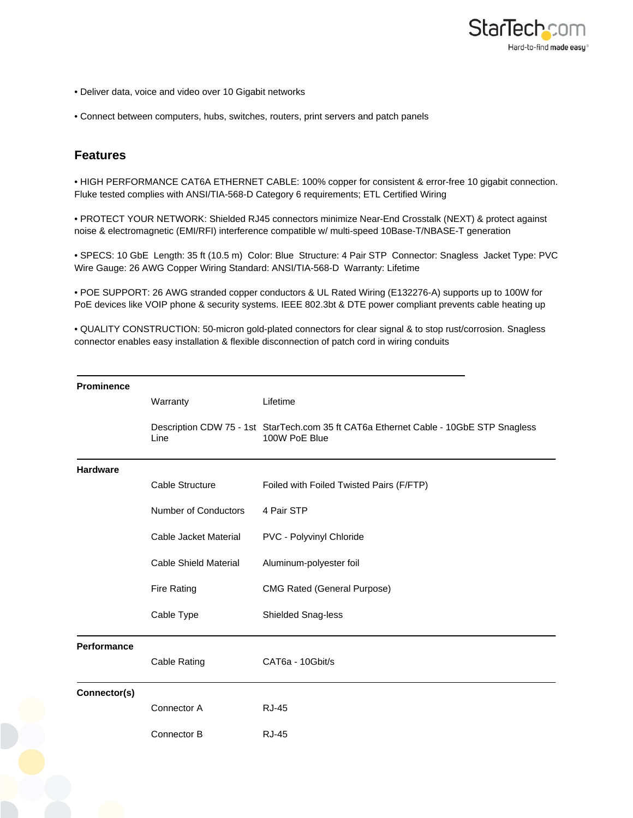

- Deliver data, voice and video over 10 Gigabit networks
- Connect between computers, hubs, switches, routers, print servers and patch panels

## **Features**

• HIGH PERFORMANCE CAT6A ETHERNET CABLE: 100% copper for consistent & error-free 10 gigabit connection. Fluke tested complies with ANSI/TIA-568-D Category 6 requirements; ETL Certified Wiring

• PROTECT YOUR NETWORK: Shielded RJ45 connectors minimize Near-End Crosstalk (NEXT) & protect against noise & electromagnetic (EMI/RFI) interference compatible w/ multi-speed 10Base-T/NBASE-T generation

• SPECS: 10 GbE Length: 35 ft (10.5 m) Color: Blue Structure: 4 Pair STP Connector: Snagless Jacket Type: PVC Wire Gauge: 26 AWG Copper Wiring Standard: ANSI/TIA-568-D Warranty: Lifetime

• POE SUPPORT: 26 AWG stranded copper conductors & UL Rated Wiring (E132276-A) supports up to 100W for PoE devices like VOIP phone & security systems. IEEE 802.3bt & DTE power compliant prevents cable heating up

• QUALITY CONSTRUCTION: 50-micron gold-plated connectors for clear signal & to stop rust/corrosion. Snagless connector enables easy installation & flexible disconnection of patch cord in wiring conduits

| <b>Prominence</b> |                             |                                                                                                        |
|-------------------|-----------------------------|--------------------------------------------------------------------------------------------------------|
|                   | Warranty                    | Lifetime                                                                                               |
|                   | Line                        | Description CDW 75 - 1st StarTech.com 35 ft CAT6a Ethernet Cable - 10GbE STP Snagless<br>100W PoE Blue |
| <b>Hardware</b>   |                             |                                                                                                        |
|                   | Cable Structure             | Foiled with Foiled Twisted Pairs (F/FTP)                                                               |
|                   | <b>Number of Conductors</b> | 4 Pair STP                                                                                             |
|                   | Cable Jacket Material       | PVC - Polyvinyl Chloride                                                                               |
|                   | Cable Shield Material       | Aluminum-polyester foil                                                                                |
|                   | <b>Fire Rating</b>          | <b>CMG Rated (General Purpose)</b>                                                                     |
|                   | Cable Type                  | <b>Shielded Snag-less</b>                                                                              |
| Performance       |                             |                                                                                                        |
|                   | <b>Cable Rating</b>         | CAT6a - 10Gbit/s                                                                                       |
| Connector(s)      |                             |                                                                                                        |
|                   | Connector A                 | <b>RJ-45</b>                                                                                           |
|                   | Connector B                 | <b>RJ-45</b>                                                                                           |